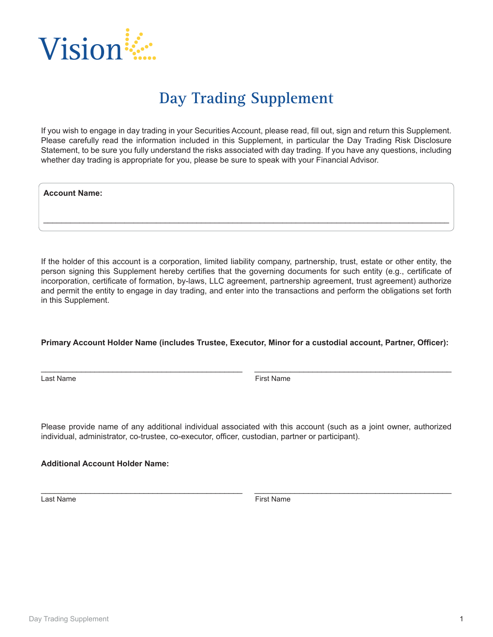

## **Day Trading Supplement**

If you wish to engage in day trading in your Securities Account, please read, fill out, sign and return this Supplement. Please carefully read the information included in this Supplement, in particular the Day Trading Risk Disclosure Statement, to be sure you fully understand the risks associated with day trading. If you have any questions, including whether day trading is appropriate for you, please be sure to speak with your Financial Advisor.

**Account Name:**

If the holder of this account is a corporation, limited liability company, partnership, trust, estate or other entity, the person signing this Supplement hereby certifies that the governing documents for such entity (e.g., certificate of incorporation, certificate of formation, by-laws, LLC agreement, partnership agreement, trust agreement) authorize and permit the entity to engage in day trading, and enter into the transactions and perform the obligations set forth in this Supplement.

\_\_\_\_\_\_\_\_\_\_\_\_\_\_\_\_\_\_\_\_\_\_\_\_\_\_\_\_\_\_\_\_\_\_\_\_\_\_\_\_\_\_\_\_\_\_\_\_\_\_\_\_\_\_\_\_\_\_\_\_\_\_\_\_\_\_\_\_\_\_\_\_\_\_\_\_\_\_\_\_\_\_\_\_\_\_\_\_\_\_

## **Primary Account Holder Name (includes Trustee, Executor, Minor for a custodial account, Partner, Officer):**

\_\_\_\_\_\_\_\_\_\_\_\_\_\_\_\_\_\_\_\_\_\_\_\_\_\_\_\_\_\_\_\_\_\_\_\_\_\_\_\_\_\_\_\_\_ \_\_\_\_\_\_\_\_\_\_\_\_\_\_\_\_\_\_\_\_\_\_\_\_\_\_\_\_\_\_\_\_\_\_\_\_\_\_\_\_\_\_\_\_

Last Name First Name **First Name** 

Please provide name of any additional individual associated with this account (such as a joint owner, authorized individual, administrator, co-trustee, co-executor, officer, custodian, partner or participant).

\_\_\_\_\_\_\_\_\_\_\_\_\_\_\_\_\_\_\_\_\_\_\_\_\_\_\_\_\_\_\_\_\_\_\_\_\_\_\_\_\_\_\_\_\_ \_\_\_\_\_\_\_\_\_\_\_\_\_\_\_\_\_\_\_\_\_\_\_\_\_\_\_\_\_\_\_\_\_\_\_\_\_\_\_\_\_\_\_\_

**Additional Account Holder Name:**

Last Name First Name **First Name**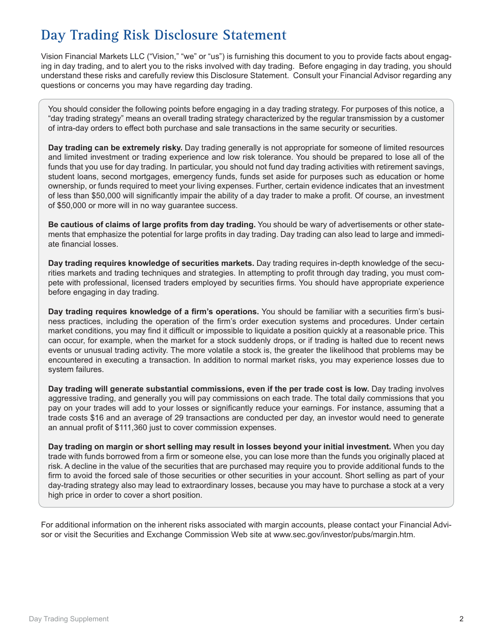## **Day Trading Risk Disclosure Statement**

Vision Financial Markets LLC ("Vision," "we" or "us") is furnishing this document to you to provide facts about engaging in day trading, and to alert you to the risks involved with day trading. Before engaging in day trading, you should understand these risks and carefully review this Disclosure Statement. Consult your Financial Advisor regarding any questions or concerns you may have regarding day trading.

You should consider the following points before engaging in a day trading strategy. For purposes of this notice, a "day trading strategy" means an overall trading strategy characterized by the regular transmission by a customer of intra-day orders to effect both purchase and sale transactions in the same security or securities.

**Day trading can be extremely risky.** Day trading generally is not appropriate for someone of limited resources and limited investment or trading experience and low risk tolerance. You should be prepared to lose all of the funds that you use for day trading. In particular, you should not fund day trading activities with retirement savings, student loans, second mortgages, emergency funds, funds set aside for purposes such as education or home ownership, or funds required to meet your living expenses. Further, certain evidence indicates that an investment of less than \$50,000 will significantly impair the ability of a day trader to make a profit. Of course, an investment of \$50,000 or more will in no way guarantee success.

**Be cautious of claims of large profits from day trading.** You should be wary of advertisements or other statements that emphasize the potential for large profits in day trading. Day trading can also lead to large and immediate financial losses.

**Day trading requires knowledge of securities markets.** Day trading requires in-depth knowledge of the securities markets and trading techniques and strategies. In attempting to profit through day trading, you must compete with professional, licensed traders employed by securities firms. You should have appropriate experience before engaging in day trading.

**Day trading requires knowledge of a firm's operations.** You should be familiar with a securities firm's business practices, including the operation of the firm's order execution systems and procedures. Under certain market conditions, you may find it difficult or impossible to liquidate a position quickly at a reasonable price. This can occur, for example, when the market for a stock suddenly drops, or if trading is halted due to recent news events or unusual trading activity. The more volatile a stock is, the greater the likelihood that problems may be encountered in executing a transaction. In addition to normal market risks, you may experience losses due to system failures.

**Day trading will generate substantial commissions, even if the per trade cost is low.** Day trading involves aggressive trading, and generally you will pay commissions on each trade. The total daily commissions that you pay on your trades will add to your losses or significantly reduce your earnings. For instance, assuming that a trade costs \$16 and an average of 29 transactions are conducted per day, an investor would need to generate an annual profit of \$111,360 just to cover commission expenses.

**Day trading on margin or short selling may result in losses beyond your initial investment.** When you day trade with funds borrowed from a firm or someone else, you can lose more than the funds you originally placed at risk. A decline in the value of the securities that are purchased may require you to provide additional funds to the firm to avoid the forced sale of those securities or other securities in your account. Short selling as part of your day-trading strategy also may lead to extraordinary losses, because you may have to purchase a stock at a very high price in order to cover a short position.

For additional information on the inherent risks associated with margin accounts, please contact your Financial Advisor or visit the Securities and Exchange Commission Web site at www.sec.gov/investor/pubs/margin.htm.